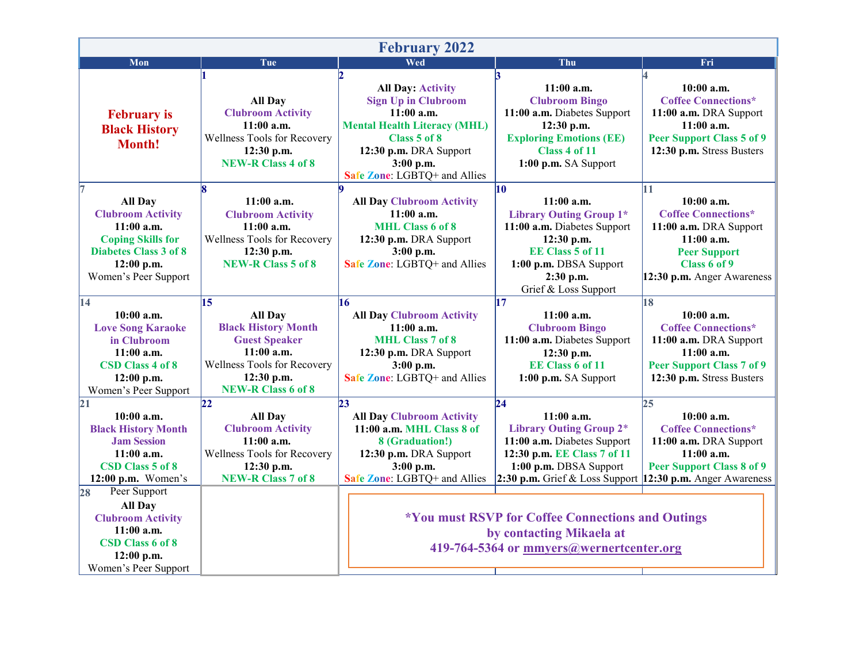| <b>February 2022</b>                                                                                                                                                                                                            |                                                                                                                                                                                   |                                                                                                                                                                                                      |                                                                                                                                                                                                                                                                 |                                                                                                                                                                 |  |  |  |
|---------------------------------------------------------------------------------------------------------------------------------------------------------------------------------------------------------------------------------|-----------------------------------------------------------------------------------------------------------------------------------------------------------------------------------|------------------------------------------------------------------------------------------------------------------------------------------------------------------------------------------------------|-----------------------------------------------------------------------------------------------------------------------------------------------------------------------------------------------------------------------------------------------------------------|-----------------------------------------------------------------------------------------------------------------------------------------------------------------|--|--|--|
| Mon                                                                                                                                                                                                                             | Tue                                                                                                                                                                               | Wed                                                                                                                                                                                                  | Thu                                                                                                                                                                                                                                                             | Fri                                                                                                                                                             |  |  |  |
| <b>February</b> is<br><b>Black History</b><br>Month!                                                                                                                                                                            | <b>All Day</b><br><b>Clubroom Activity</b><br>$11:00$ a.m.<br>Wellness Tools for Recovery<br>12:30 p.m.<br><b>NEW-R Class 4 of 8</b>                                              | <b>All Day: Activity</b><br><b>Sign Up in Clubroom</b><br>$11:00$ a.m.<br><b>Mental Health Literacy (MHL)</b><br>Class 5 of 8<br>12:30 p.m. DRA Support<br>3:00 p.m.<br>Safe Zone: LGBTQ+ and Allies | R<br>$11:00$ a.m.<br><b>Clubroom Bingo</b><br>11:00 a.m. Diabetes Support<br>12:30 p.m.<br><b>Exploring Emotions (EE)</b><br>Class 4 of 11<br>1:00 p.m. SA Support                                                                                              | 10:00 a.m.<br><b>Coffee Connections*</b><br>11:00 a.m. DRA Support<br>$11:00$ a.m.<br><b>Peer Support Class 5 of 9</b><br>12:30 p.m. Stress Busters             |  |  |  |
| 17<br><b>All Day</b><br><b>Clubroom Activity</b><br>$11:00$ a.m.<br><b>Coping Skills for</b><br><b>Diabetes Class 3 of 8</b><br>$12:00$ p.m.<br>Women's Peer Support                                                            | 18<br>$11:00$ a.m.<br><b>Clubroom Activity</b><br>11:00 a.m.<br>Wellness Tools for Recovery<br>12:30 p.m.<br>NEW-R Class 5 of 8                                                   | <b>All Day Clubroom Activity</b><br>$11:00$ a.m.<br><b>MHL Class 6 of 8</b><br>12:30 p.m. DRA Support<br>3:00 p.m.<br>Safe Zone: LGBTQ+ and Allies                                                   | 10<br>$11:00$ a.m.<br><b>Library Outing Group 1*</b><br>11:00 a.m. Diabetes Support<br>12:30 p.m.<br>EE Class 5 of 11<br>1:00 p.m. DBSA Support<br>2:30 p.m.<br>Grief & Loss Support                                                                            | 11<br>$10:00$ a.m.<br><b>Coffee Connections*</b><br>11:00 a.m. DRA Support<br>$11:00$ a.m.<br><b>Peer Support</b><br>Class 6 of 9<br>12:30 p.m. Anger Awareness |  |  |  |
| $\overline{14}$<br>$10:00$ a.m.<br><b>Love Song Karaoke</b><br>in Clubroom<br>$11:00$ a.m.<br><b>CSD Class 4 of 8</b><br>$12:00$ p.m.<br>Women's Peer Support                                                                   | $\overline{15}$<br><b>All Day</b><br><b>Black History Month</b><br><b>Guest Speaker</b><br>$11:00$ a.m.<br>Wellness Tools for Recovery<br>12:30 p.m.<br><b>NEW-R Class 6 of 8</b> | 16<br><b>All Day Clubroom Activity</b><br>$11:00$ a.m.<br><b>MHL Class 7 of 8</b><br>12:30 p.m. DRA Support<br>3:00 p.m.<br>Safe Zone: LGBTQ+ and Allies                                             | 17<br>$11:00$ a.m.<br><b>Clubroom Bingo</b><br>11:00 a.m. Diabetes Support<br>12:30 p.m.<br><b>EE Class 6 of 11</b><br>1:00 p.m. SA Support                                                                                                                     | 18<br>10:00a.m.<br><b>Coffee Connections*</b><br>11:00 a.m. DRA Support<br>$11:00$ a.m.<br><b>Peer Support Class 7 of 9</b><br>12:30 p.m. Stress Busters        |  |  |  |
| $\mathbf{21}$<br>10:00 a.m.<br><b>Black History Month</b><br><b>Jam Session</b><br>$11:00$ a.m.<br>CSD Class 5 of 8<br>$12:00$ p.m. Women's<br>Peer Support<br>28<br><b>All Day</b><br><b>Clubroom Activity</b><br>$11:00$ a.m. | $\overline{22}$<br><b>All Day</b><br><b>Clubroom Activity</b><br>$11:00$ a.m.<br>Wellness Tools for Recovery<br>12:30 p.m.<br><b>NEW-R Class 7 of 8</b>                           | $\overline{23}$<br><b>All Day Clubroom Activity</b><br>11:00 a.m. MHL Class 8 of<br>8 (Graduation!)<br>12:30 p.m. DRA Support<br>3:00 p.m.<br>Safe Zone: LGBTQ+ and Allies                           | 24<br>$11:00$ a.m.<br><b>Library Outing Group 2*</b><br>11:00 a.m. Diabetes Support<br>12:30 p.m. EE Class 7 of 11<br>1:00 p.m. DBSA Support<br>2:30 p.m. Grief & Loss Support<br>*You must RSVP for Coffee Connections and Outings<br>by contacting Mikaela at | 25<br>10:00a.m.<br><b>Coffee Connections*</b><br>11:00 a.m. DRA Support<br>$11:00$ a.m.<br><b>Peer Support Class 8 of 9</b><br>12:30 p.m. Anger Awareness       |  |  |  |
| CSD Class 6 of 8<br>$12:00$ p.m.<br>Women's Peer Support                                                                                                                                                                        |                                                                                                                                                                                   |                                                                                                                                                                                                      | 419-764-5364 or mmyers@wernertcenter.org                                                                                                                                                                                                                        |                                                                                                                                                                 |  |  |  |